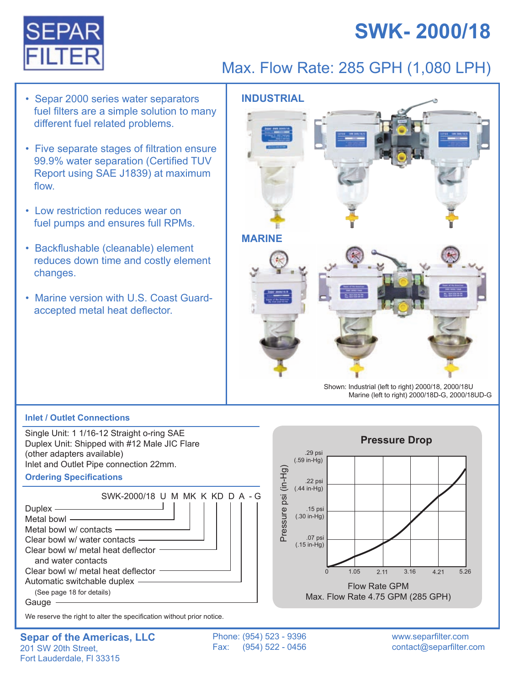# **SWK- 2000/18**



### Max. Flow Rate: 285 GPH (1,080 LPH)

- Separ 2000 series water separators **INDUSTRIAL**  fuel filters are a simple solution to many different fuel related problems.
- Five separate stages of filtration ensure 99.9% water separation (Certified TUV Report using SAE J1839) at maximum flow.
- Low restriction reduces wear on fuel pumps and ensures full RPMs.
- Backflushable (cleanable) element reduces down time and costly element changes.
- Marine version with U.S. Coast Guard accepted metal heat deflector.



#### **Inlet / Outlet Connections**

Single Unit: 1 1/16-12 Straight o-ring SAE Duplex Unit: Shipped with #12 Male JIC Flare (other adapters available) Inlet and Outlet Pipe connection 22mm.

#### **Ordering Specifications**



We reserve the right to alter the specification without prior notice.

Phone: (954) 523 - 9396 Fax: (954) 522 - 0456

.29 psi (.59 in-Hg)

.22 psi  $(.44$  in-Hg)

.15 psi  $(.30$  in-Hg)

.07 psi  $(.15$  in-Hg)

Pressure psi (in-Hg)

Pressure psi (in-Hg)

www.separfilter.com contact@separfilter.com

 $5.26$ 

0 1.05 2.11 3.16 4.21 Flow Rate GPM Max. Flow Rate 4.75 GPM (285 GPH)

**Pressure Drop**